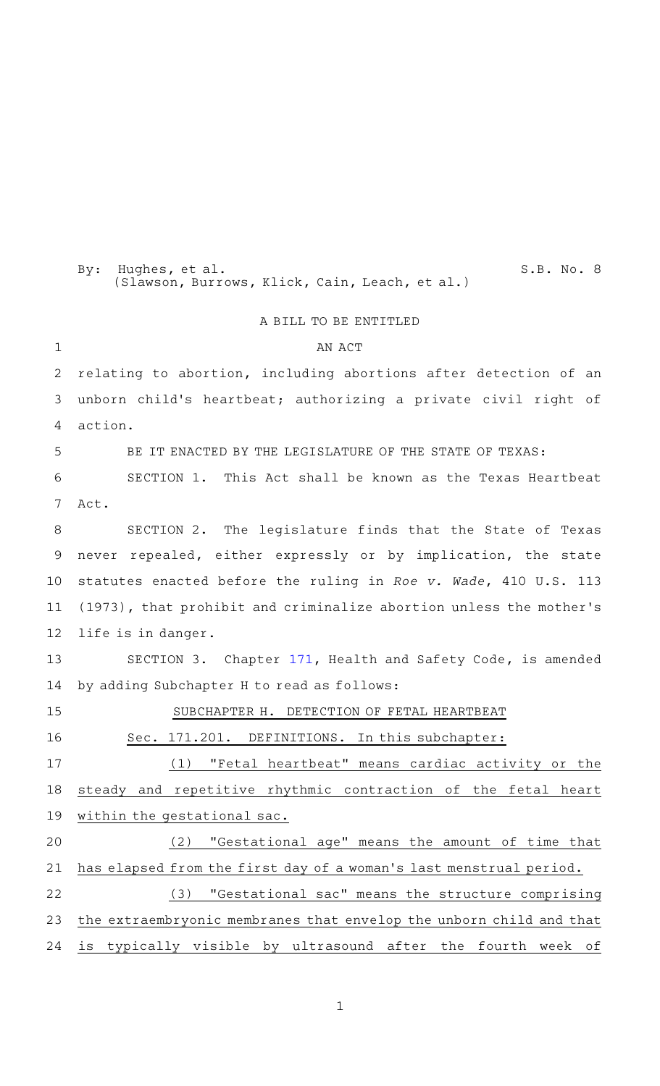(Slawson, Burrows, Klick, Cain, Leach, et al.) A BILL TO BE ENTITLED AN ACT relating to abortion, including abortions after detection of an unborn child's heartbeat; authorizing a private civil right of action. BE IT ENACTED BY THE LEGISLATURE OF THE STATE OF TEXAS: SECTION 1. This Act shall be known as the Texas Heartbeat Act. SECTION 2. The legislature finds that the State of Texas never repealed, either expressly or by implication, the state statutes enacted before the ruling in Roe v. Wade, 410 U.S. 113 (1973), that prohibit and criminalize abortion unless the mother 's life is in danger. SECTION 3. Chapter [171](http://www.statutes.legis.state.tx.us/GetStatute.aspx?Code=HS&Value=171&Date=4/28/2021), Health and Safety Code, is amended by adding Subchapter H to read as follows: SUBCHAPTER H. DETECTION OF FETAL HEARTBEAT Sec. 171.201. DEFINITIONS. In this subchapter: (1) "Fetal heartbeat" means cardiac activity or the steady and repetitive rhythmic contraction of the fetal heart within the gestational sac. (2) "Gestational age" means the amount of time that has elapsed from the first day of a woman 's last menstrual period. (3) "Gestational sac" means the structure comprising the extraembryonic membranes that envelop the unborn child and that is typically visible by ultrasound after the fourth week of 1 2 3 4 5 6 7 8 9 10 11 12 13 14 15 16 17 18 19 20 21 22 23 24

By: Hughes, et al. S.B. No. 8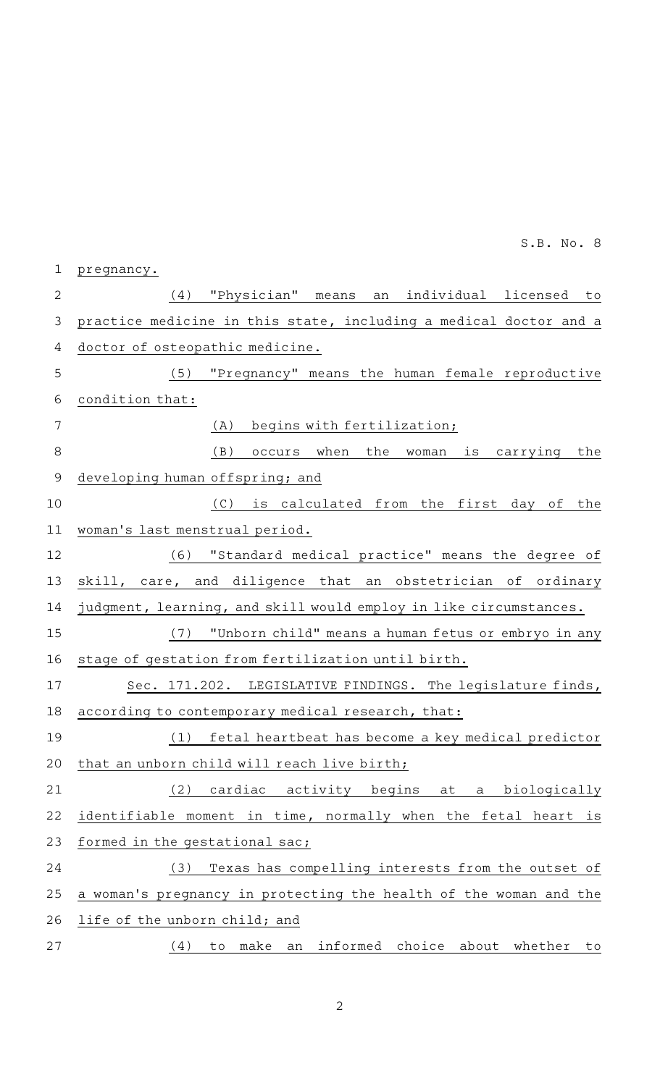| 2             | "Physician" means an individual licensed<br>(4)<br>to             |
|---------------|-------------------------------------------------------------------|
| 3             | practice medicine in this state, including a medical doctor and a |
| 4             | doctor of osteopathic medicine.                                   |
| 5             | (5) "Pregnancy" means the human female reproductive               |
| 6             | condition that:                                                   |
| 7             | begins with fertilization;<br>(A)                                 |
| 8             | (B)<br>occurs when<br>the woman is carrying the                   |
| $\mathcal{Q}$ | developing human offspring; and                                   |
| 10            | (C) is calculated from the first day of<br>the                    |
| 11            | woman's last menstrual period.                                    |
| 12            | (6) "Standard medical practice" means the degree of               |
| 13            | skill, care, and diligence that an obstetrician of ordinary       |
| 14            | judgment, learning, and skill would employ in like circumstances. |
| 15            | (7) "Unborn child" means a human fetus or embryo in any           |
| 16            | stage of gestation from fertilization until birth.                |
| 17            | Sec. 171.202. LEGISLATIVE FINDINGS. The legislature finds,        |
| 18            | according to contemporary medical research, that:                 |
| 19            | (1)<br>fetal heartbeat has become a key medical predictor         |
| 20            | that an unborn child will reach live birth;                       |
| 21            | cardiac<br>activity begins<br>biologically<br>(2)<br>at<br>a      |
| 22            | identifiable moment in time, normally when the fetal heart<br>is  |
| 23            | formed in the gestational sac;                                    |
| 24            | Texas has compelling interests from the outset of<br>(3)          |
| 25            | a woman's pregnancy in protecting the health of the woman and the |
| 26            | life of the unborn child; and                                     |
| 27            | informed choice about whether<br>make<br>(4)<br>to<br>an<br>to    |

pregnancy. 1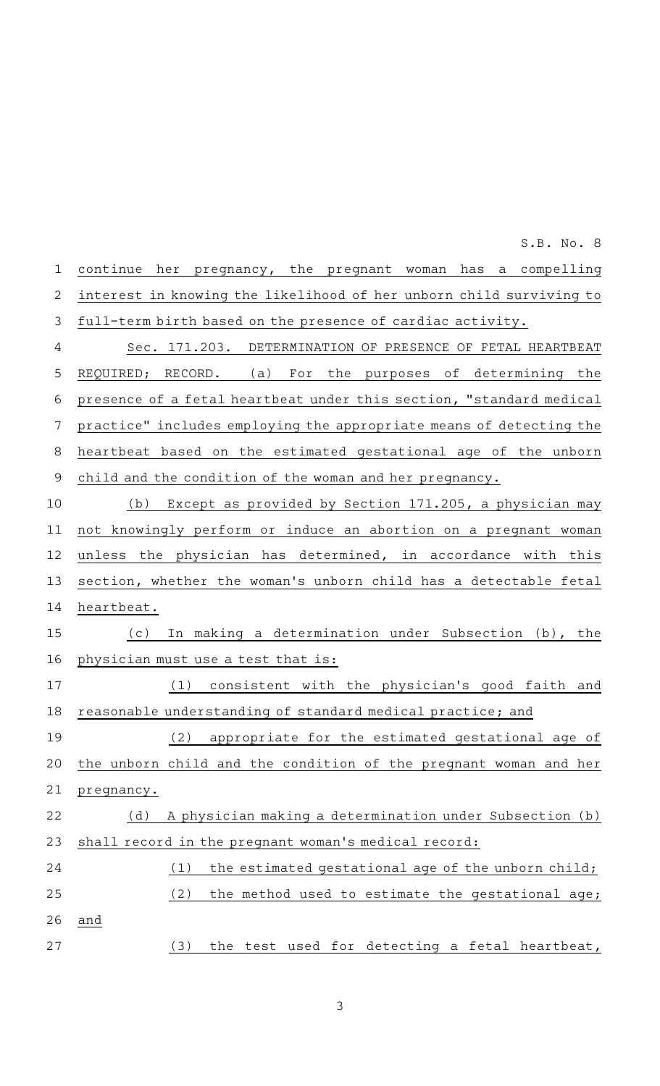|                | S.B. No. 8                                                          |
|----------------|---------------------------------------------------------------------|
| $\mathbf 1$    | continue her pregnancy, the pregnant woman<br>has a compelling      |
| $\mathbf{2}$   | interest in knowing the likelihood of her unborn child surviving to |
| $\mathfrak{Z}$ | full-term birth based on the presence of cardiac activity.          |
| 4              | Sec. 171.203. DETERMINATION OF PRESENCE OF FETAL HEARTBEAT          |
| 5              | For the purposes of determining the<br>(a)<br>REQUIRED; RECORD.     |
| 6              | presence of a fetal heartbeat under this section, "standard medical |
| 7              | practice" includes employing the appropriate means of detecting the |
| 8              | heartbeat based on the estimated gestational age of the unborn      |
| 9              | child and the condition of the woman and her pregnancy.             |
| 10             | Except as provided by Section 171.205, a physician may<br>(b)       |
| 11             | not knowingly perform or induce an abortion on a pregnant woman     |
| 12             | unless the physician has determined, in accordance with this        |
| 13             | section, whether the woman's unborn child has a detectable fetal    |
| 14             | heartbeat.                                                          |
| 15             | In making a determination under Subsection (b), the<br>(c)          |
| 16             | physician must use a test that is:                                  |
| 17             | (1) consistent with the physician's good faith and                  |
| 18             | reasonable understanding of standard medical practice; and          |
| 19             | appropriate for the estimated gestational age of<br>(2)             |
| 20             | the unborn child and the condition of the pregnant woman and her    |
| 21             | pregnancy.                                                          |
| 22             | A physician making a determination under Subsection (b)<br>(d)      |
| 23             | shall record in the pregnant woman's medical record:                |
| 24             | the estimated gestational age of the unborn child;<br>(1)           |
| 25             | (2)<br>the method used to estimate the gestational age;             |

(3) the test used for detecting a fetal heartbeat,

and

26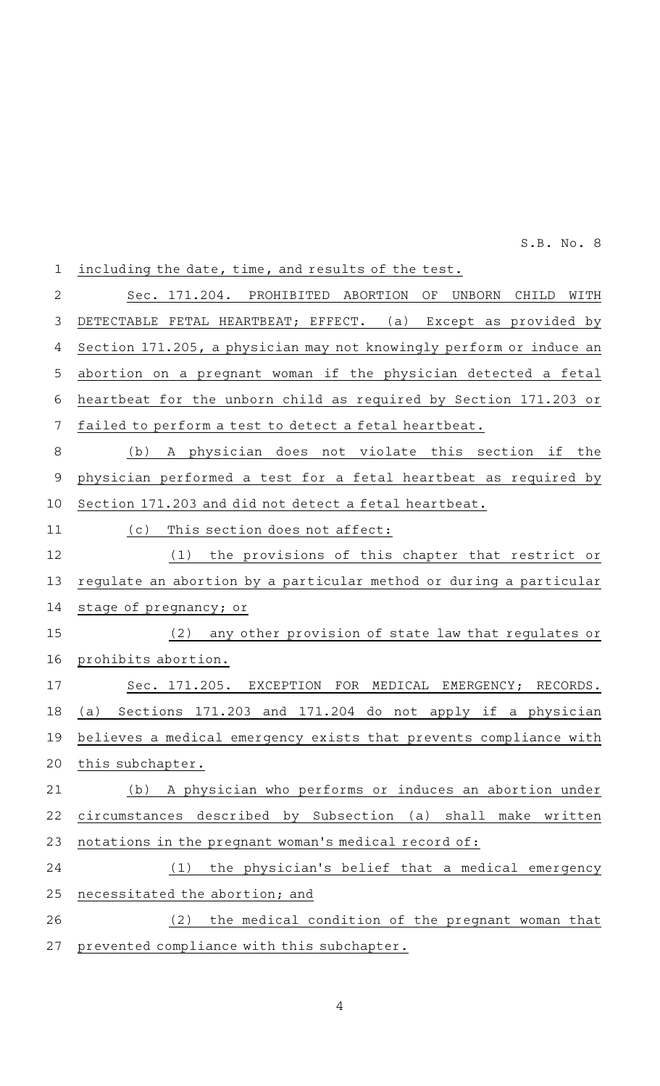| $\mathbf 1$    | including the date, time, and results of the test.                           |
|----------------|------------------------------------------------------------------------------|
| $\overline{2}$ | Sec. 171.204. PROHIBITED<br>ABORTION<br>ΟF<br><b>UNBORN</b><br>CHILD<br>WITH |
| $\mathfrak{Z}$ | DETECTABLE FETAL HEARTBEAT; EFFECT. (a) Except as provided by                |
| 4              | Section 171.205, a physician may not knowingly perform or induce an          |
| 5              | abortion on a pregnant woman if the physician detected a fetal               |
| 6              | heartbeat for the unborn child as required by Section 171.203 or             |
| 7              | failed to perform a test to detect a fetal heartbeat.                        |
| 8              | A physician does not violate this section if the<br>(b)                      |
| $\mathsf 9$    | physician performed a test for a fetal heartbeat as required by              |
| 10             | Section 171.203 and did not detect a fetal heartbeat.                        |
| 11             | This section does not affect:<br>(c)                                         |
| 12             | (1)<br>the provisions of this chapter that restrict or                       |
| 13             | regulate an abortion by a particular method or during a particular           |
| 14             | stage of pregnancy; or                                                       |
| 15             | any other provision of state law that regulates or<br>(2)                    |
| 16             | prohibits abortion.                                                          |
| 17             | Sec. 171.205. EXCEPTION FOR MEDICAL EMERGENCY; RECORDS.                      |
| 18             | (a) Sections 171.203 and 171.204 do not apply if a physician                 |
| 19             | believes a medical emergency exists that prevents compliance with            |
| 20             | this subchapter.                                                             |
| 21             | A physician who performs or induces an abortion under<br>(b)                 |
| 22             | shall<br>described by Subsection<br>(a)<br>circumstances<br>make<br>written  |
| 23             | notations in the pregnant woman's medical record of:                         |
| 24             | the physician's belief that a medical emergency<br>(1)                       |
| 25             | necessitated the abortion; and                                               |
| 26             | (2)<br>the medical condition of the pregnant woman that                      |
| 27             | prevented compliance with this subchapter.                                   |
|                |                                                                              |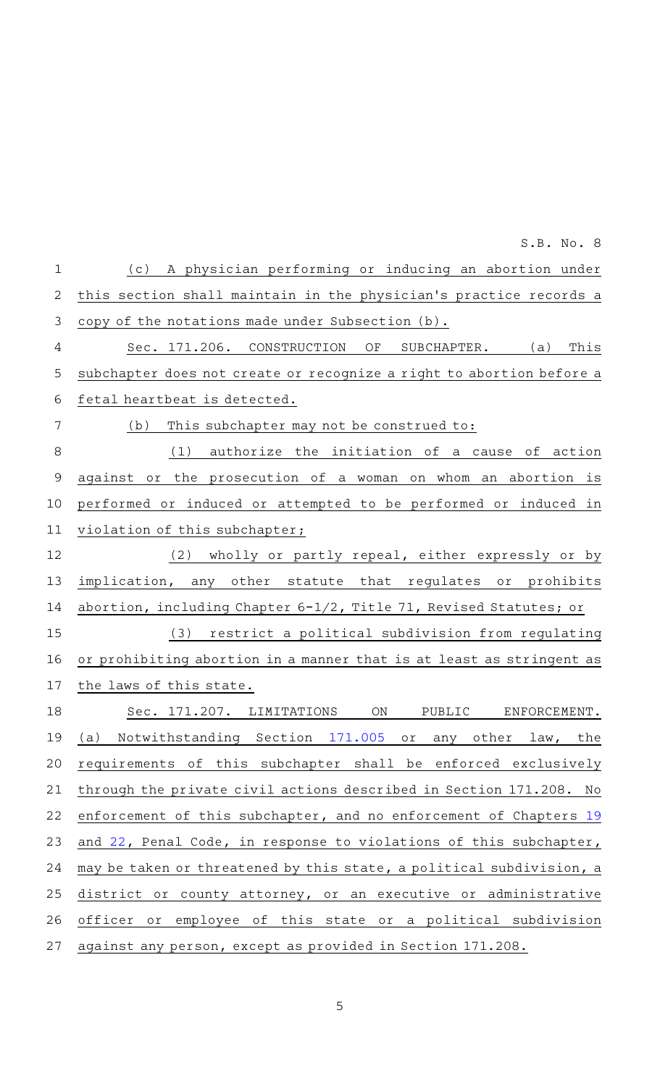| $\mathbf{1}$   | A physician performing or inducing an abortion under<br>(c)          |
|----------------|----------------------------------------------------------------------|
| $\overline{2}$ | this section shall maintain in the physician's practice records a    |
| 3              | copy of the notations made under Subsection (b).                     |
| 4              | Sec. 171.206. CONSTRUCTION<br>OF<br>This<br>SUBCHAPTER. (a)          |
| 5              | subchapter does not create or recognize a right to abortion before a |
| 6              | fetal heartbeat is detected.                                         |
| 7              | This subchapter may not be construed to:<br>(b)                      |
| 8              | (1)<br>authorize the initiation of a cause of action                 |
| $\mathcal{Q}$  | against or the prosecution of a woman on whom an abortion is         |
| 10             | performed or induced or attempted to be performed or induced in      |
| 11             | violation of this subchapter;                                        |
| 12             | (2) wholly or partly repeal, either expressly or by                  |
| 13             | implication, any other statute that regulates or prohibits           |
| 14             | abortion, including Chapter 6-1/2, Title 71, Revised Statutes; or    |
| 15             | (3) restrict a political subdivision from regulating                 |
| 16             | or prohibiting abortion in a manner that is at least as stringent as |
| 17             | the laws of this state.                                              |
| 18             | Sec. 171.207. LIMITATIONS<br>ON<br>PUBLIC<br>ENFORCEMENT.            |
| 19             | (a) Notwithstanding Section 171.005 or any other law, the            |
| 20             | requirements of this subchapter shall be enforced exclusively        |
| 21             | through the private civil actions described in Section 171.208. No   |
| 22             | enforcement of this subchapter, and no enforcement of Chapters 19    |
| 23             | and 22, Penal Code, in response to violations of this subchapter,    |
| 24             | may be taken or threatened by this state, a political subdivision, a |
| 25             | district or county attorney, or an executive or administrative       |
| 26             | officer or employee of this state or a political subdivision         |
| 27             | against any person, except as provided in Section 171.208.           |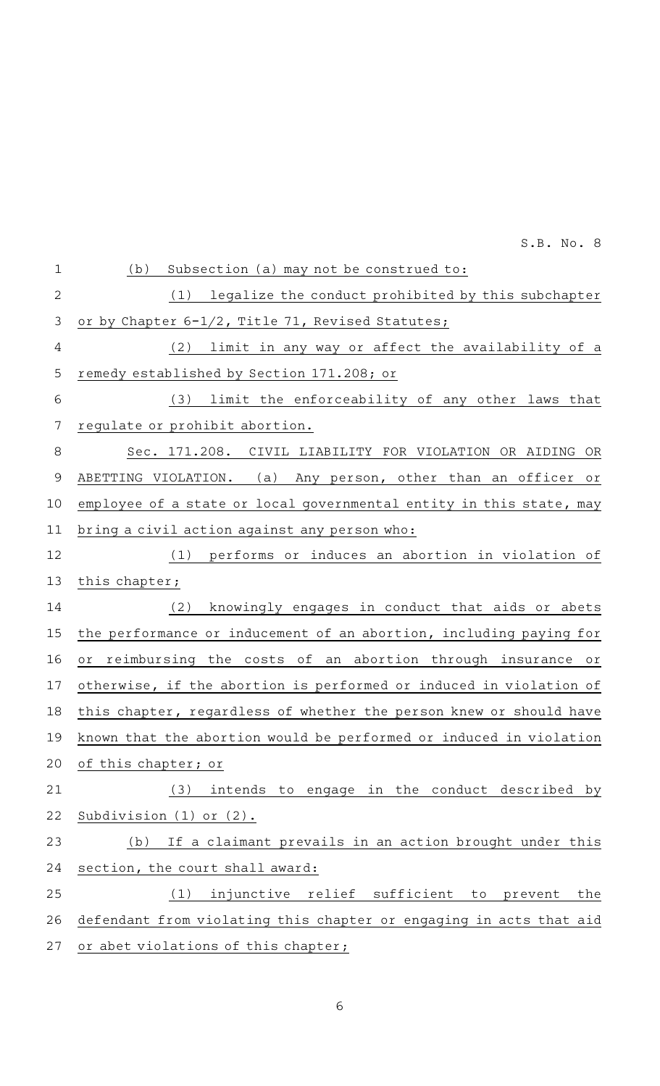| $1\,$          | (b)<br>Subsection (a) may not be construed to:                      |
|----------------|---------------------------------------------------------------------|
| $\overline{2}$ | (1) legalize the conduct prohibited by this subchapter              |
| $\mathsf 3$    | or by Chapter 6-1/2, Title 71, Revised Statutes;                    |
| 4              | limit in any way or affect the availability of a<br>(2)             |
| 5              | remedy established by Section 171.208; or                           |
| 6              | (3) limit the enforceability of any other laws that                 |
| 7              | regulate or prohibit abortion.                                      |
| 8              | Sec. 171.208. CIVIL LIABILITY FOR VIOLATION OR AIDING OR            |
| 9              | (a) Any person, other than an officer or<br>ABETTING VIOLATION.     |
| 10             | employee of a state or local governmental entity in this state, may |
| 11             | bring a civil action against any person who:                        |
| 12             | performs or induces an abortion in violation of<br>(1)              |
| 13             | this chapter;                                                       |
| 14             | knowingly engages in conduct that aids or abets<br>(2)              |
| 15             | the performance or inducement of an abortion, including paying for  |
| 16             | reimbursing the costs of an abortion through insurance or<br>or     |
| 17             | otherwise, if the abortion is performed or induced in violation of  |
| 18             | this chapter, regardless of whether the person knew or should have  |
| 19             | known that the abortion would be performed or induced in violation  |
| 20             | of this chapter; or                                                 |
| 21             | (3)<br>intends to engage in the conduct described by                |
| 22             | Subdivision $(1)$ or $(2)$ .                                        |
| 23             | If a claimant prevails in an action brought under this<br>(b)       |
| 24             | section, the court shall award:                                     |
| 25             | injunctive relief sufficient to<br>prevent<br>(1)<br>the            |
| 26             | defendant from violating this chapter or engaging in acts that aid  |
| 27             | or abet violations of this chapter;                                 |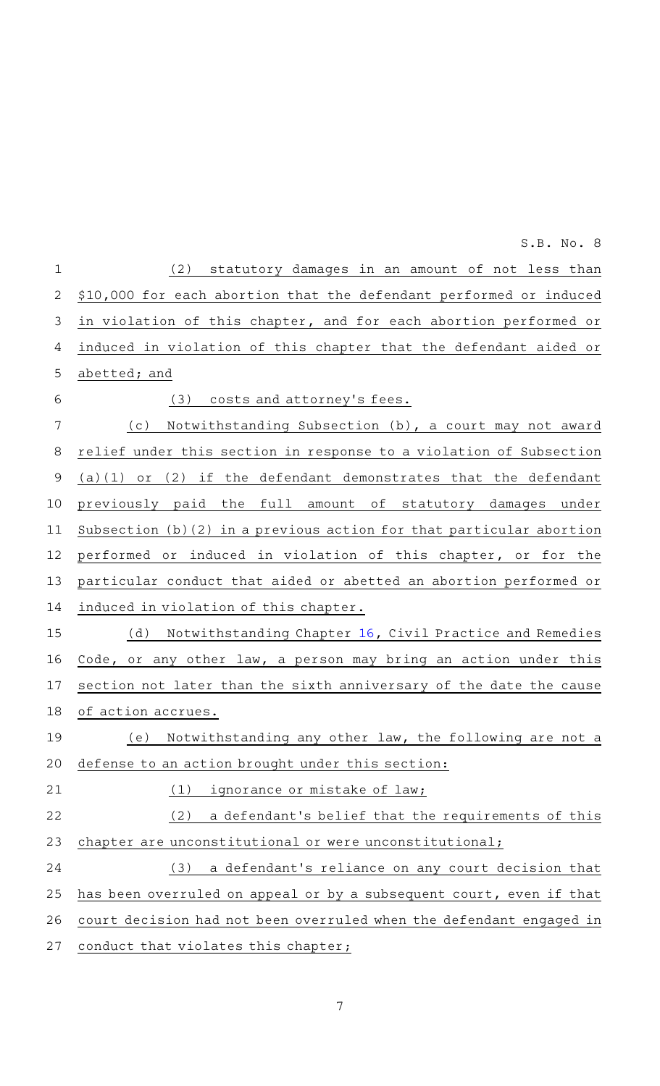|                | S.B. No. 8                                                          |
|----------------|---------------------------------------------------------------------|
| $1\,$          | statutory damages in an amount of not less than<br>(2)              |
| $\mathbf{2}$   | \$10,000 for each abortion that the defendant performed or induced  |
| $\mathfrak{Z}$ | in violation of this chapter, and for each abortion performed or    |
| 4              | induced in violation of this chapter that the defendant aided or    |
| 5              | abetted; and                                                        |
| 6              | costs and attorney's fees.<br>(3)                                   |
| 7              | Notwithstanding Subsection (b), a court may not award<br>(c)        |
| 8              | relief under this section in response to a violation of Subsection  |
| $\mathsf 9$    | (2) if the defendant demonstrates that the defendant<br>$(a)(1)$ or |
| 10             | previously paid the full amount of statutory damages under          |
| 11             | Subsection (b)(2) in a previous action for that particular abortion |
| 12             | performed or induced in violation of this chapter, or for the       |
| 13             | particular conduct that aided or abetted an abortion performed or   |
| 14             | induced in violation of this chapter.                               |
| 15             | Notwithstanding Chapter 16, Civil Practice and Remedies<br>(d)      |
| 16             | Code, or any other law, a person may bring an action under this     |
| 17             | section not later than the sixth anniversary of the date the cause  |
| 18             | of action accrues.                                                  |
| 19             | Notwithstanding any other law, the following are not a<br>(e)       |
| 20             | defense to an action brought under this section:                    |
| 21             | (1)<br>ignorance or mistake of law;                                 |
| 22             | (2)<br>a defendant's belief that the requirements of this           |
| 23             | chapter are unconstitutional or were unconstitutional;              |
| 24             | a defendant's reliance on any court decision that<br>(3)            |
| 25             | has been overruled on appeal or by a subsequent court, even if that |
| 26             | court decision had not been overruled when the defendant engaged in |
| 27             | conduct that violates this chapter;                                 |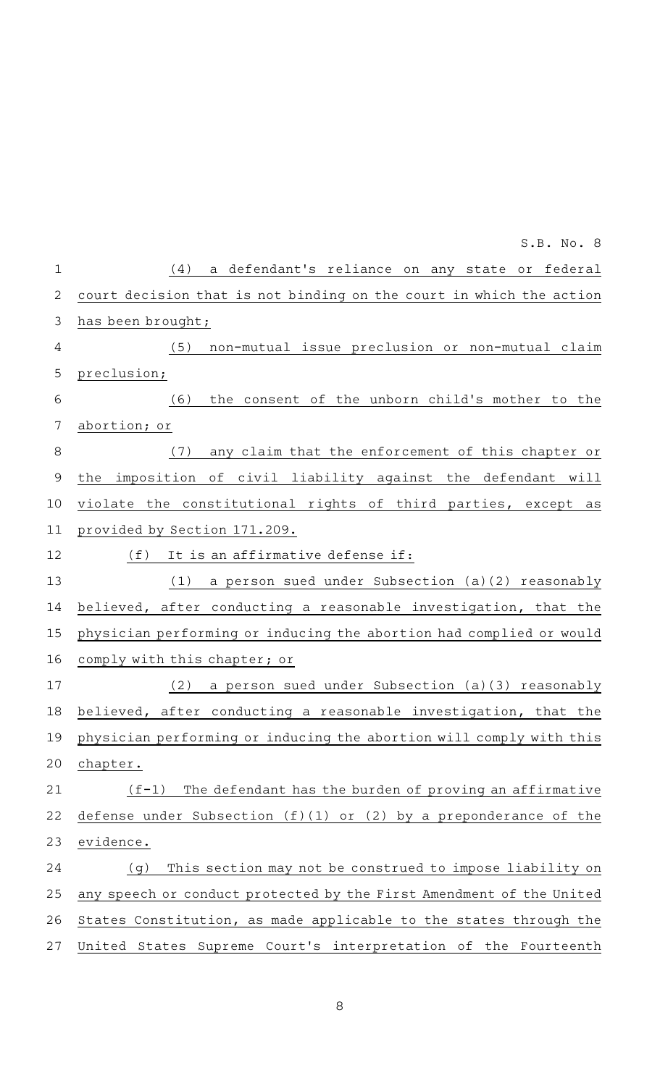|              | S.B. No. 8                                                           |
|--------------|----------------------------------------------------------------------|
| $\mathbf{1}$ | a defendant's reliance on any state or federal<br>(4)                |
| $\mathbf{2}$ | court decision that is not binding on the court in which the action  |
| 3            | has been brought;                                                    |
| 4            | (5)<br>non-mutual issue preclusion or non-mutual claim               |
| 5            | preclusion;                                                          |
| 6            | the consent of the unborn child's mother to the<br>(6)               |
| 7            | abortion; or                                                         |
| 8            | any claim that the enforcement of this chapter or<br>(7)             |
| 9            | the imposition of civil liability against the defendant will         |
| 10           | violate the constitutional rights of third parties, except as        |
| 11           | provided by Section 171.209.                                         |
| 12           | It is an affirmative defense if:<br>(f)                              |
| 13           | a person sued under Subsection (a)(2) reasonably<br>(1)              |
| 14           | believed, after conducting a reasonable investigation, that the      |
| 15           | physician performing or inducing the abortion had complied or would  |
| 16           | comply with this chapter; or                                         |
| 17           | a person sued under Subsection (a) (3) reasonably<br>(2)             |
| 18           | believed, after conducting a reasonable investigation, that the      |
| 19           | physician performing or inducing the abortion will comply with this  |
| 20           | chapter.                                                             |
| 21           | The defendant has the burden of proving an affirmative<br>$(f-1)$    |
| 22           | defense under Subsection $(f)(1)$ or $(2)$ by a preponderance of the |
| 23           | evidence.                                                            |
| 24           | This section may not be construed to impose liability on<br>(g)      |
| 25           | any speech or conduct protected by the First Amendment of the United |
| 26           | States Constitution, as made applicable to the states through the    |
| 27           | United States Supreme Court's interpretation of the Fourteenth       |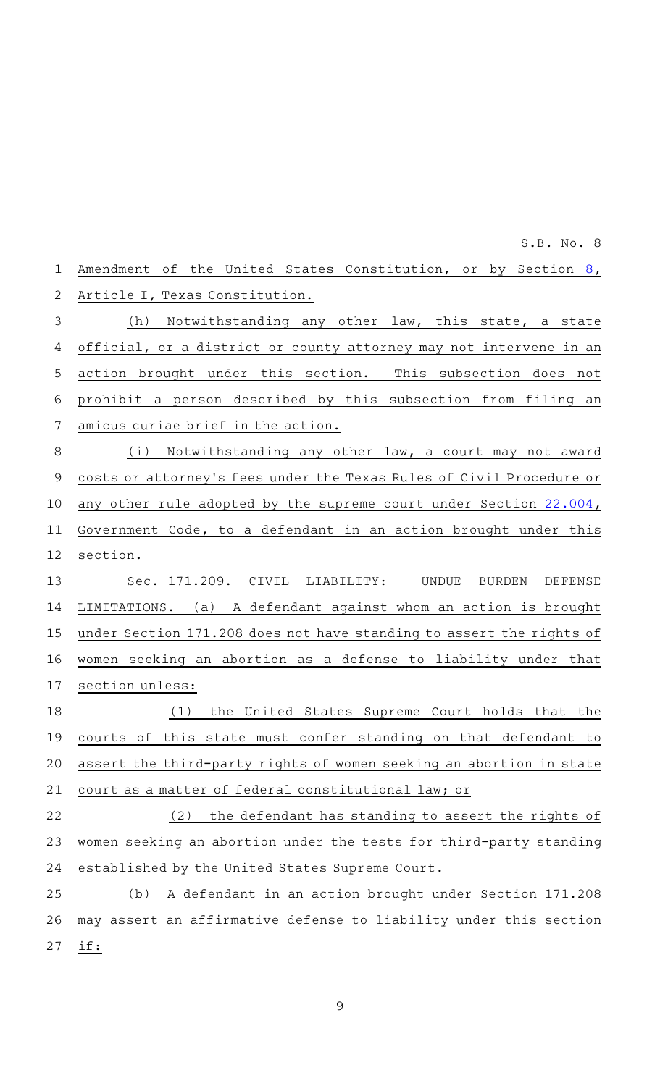Amendment of the United States Constitution, or by Section [8](http://www.statutes.legis.state.tx.us/GetStatute.aspx?Code=CN&Value=1.8&Date=4/28/2021), Article I, Texas Constitution. (h) Notwithstanding any other law, this state, a state official, or a district or county attorney may not intervene in an action brought under this section. This subsection does not prohibit a person described by this subsection from filing an amicus curiae brief in the action. (i) Notwithstanding any other law, a court may not award costs or attorney 's fees under the Texas Rules of Civil Procedure or any other rule adopted by the supreme court under Section [22.004](http://www.statutes.legis.state.tx.us/GetStatute.aspx?Code=GV&Value=22.004&Date=4/28/2021), Government Code, to a defendant in an action brought under this section. Sec. 171.209. CIVIL LIABILITY: UNDUE BURDEN DEFENSE LIMITATIONS. (a) A defendant against whom an action is brought under Section 171.208 does not have standing to assert the rights of women seeking an abortion as a defense to liability under that section unless: (1) the United States Supreme Court holds that the courts of this state must confer standing on that defendant to assert the third-party rights of women seeking an abortion in state court as a matter of federal constitutional law; or  $(2)$  the defendant has standing to assert the rights of women seeking an abortion under the tests for third-party standing established by the United States Supreme Court. (b) A defendant in an action brought under Section 171.208 may assert an affirmative defense to liability under this section if: 1 2 3 4 5 6 7 8 9 10 11 12 13 14 15 16 17 18 19 20 21 22 23 24 25 26 27 S.B. No. 8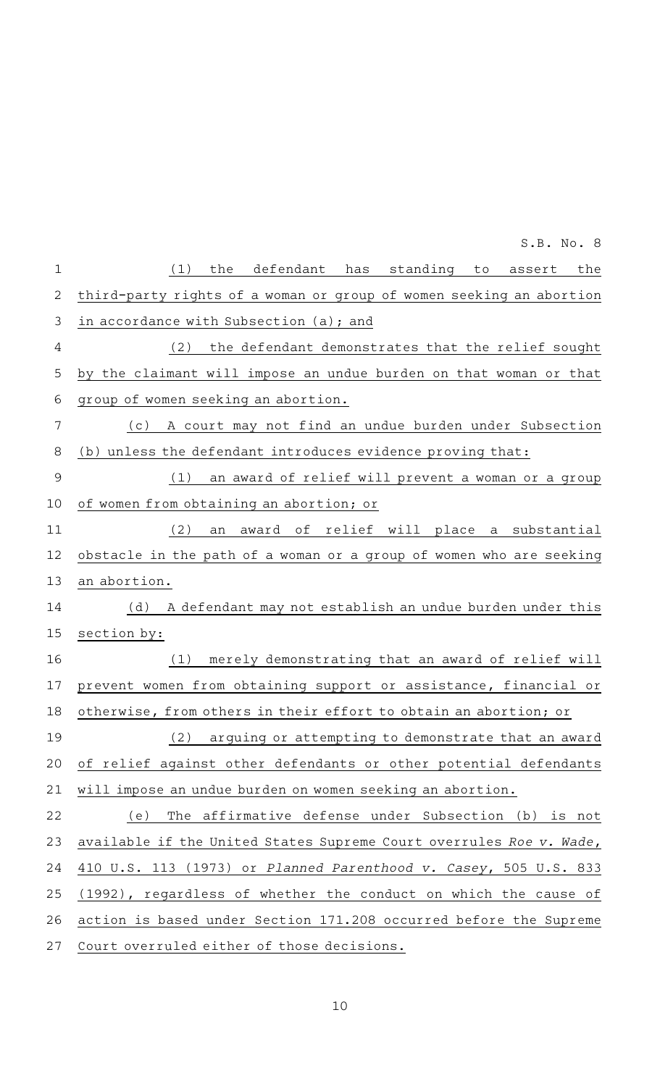| $\mathbf 1$  | (1)<br>the<br>defendant has<br>standing<br>assert the<br>to         |
|--------------|---------------------------------------------------------------------|
| $\mathbf{2}$ | third-party rights of a woman or group of women seeking an abortion |
| 3            | in accordance with Subsection (a); and                              |
| 4            | (2)<br>the defendant demonstrates that the relief sought            |
| 5            | by the claimant will impose an undue burden on that woman or that   |
| 6            | group of women seeking an abortion.                                 |
| 7            | A court may not find an undue burden under Subsection<br>(c)        |
| 8            | (b) unless the defendant introduces evidence proving that:          |
| 9            | an award of relief will prevent a woman or a group<br>(1)           |
| 10           | of women from obtaining an abortion; or                             |
|              |                                                                     |
| 11           | (2)<br>award of relief will place a substantial<br>an               |
| 12           | obstacle in the path of a woman or a group of women who are seeking |
| 13           | an abortion.                                                        |
| 14           | (d) A defendant may not establish an undue burden under this        |
| 15           | section by:                                                         |
| 16           | merely demonstrating that an award of relief will<br>(1)            |
| 17           | prevent women from obtaining support or assistance, financial or    |
| 18           | otherwise, from others in their effort to obtain an abortion; or    |
| 19           | (2) arguing or attempting to demonstrate that an award              |
| 20           | of relief against other defendants or other potential defendants    |
| 21           | will impose an undue burden on women seeking an abortion.           |
| 22           | The affirmative defense under Subsection (b) is not<br>(e)          |
| 23           | available if the United States Supreme Court overrules Roe v. Wade, |
| 24           | 410 U.S. 113 (1973) or Planned Parenthood v. Casey, 505 U.S. 833    |
| 25           | (1992), regardless of whether the conduct on which the cause of     |
| 26           | action is based under Section 171.208 occurred before the Supreme   |
| 27           | Court overruled either of those decisions.                          |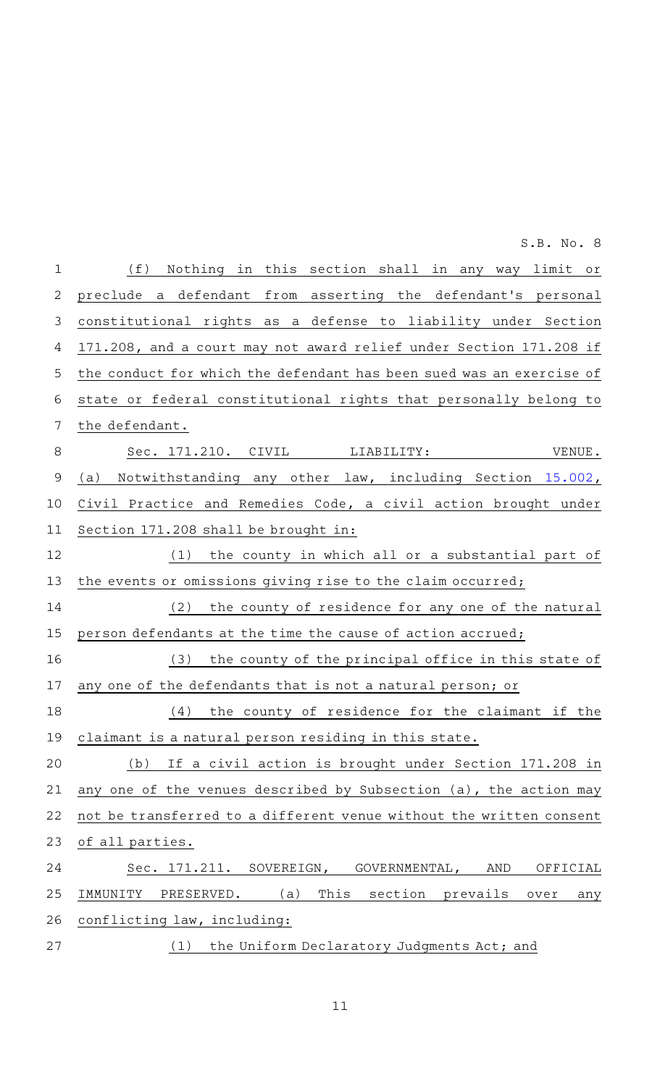| $\mathbf 1$ | (f)<br>Nothing in this section shall in any way limit or             |
|-------------|----------------------------------------------------------------------|
| 2           | preclude a defendant from asserting the defendant's personal         |
| 3           | constitutional rights as a defense to liability under Section        |
| 4           | 171.208, and a court may not award relief under Section 171.208 if   |
| 5           | the conduct for which the defendant has been sued was an exercise of |
| 6           | state or federal constitutional rights that personally belong to     |
| 7           | the defendant.                                                       |
| 8           | Sec. 171.210. CIVIL LIABILITY:<br>VENUE.                             |
| 9           | Notwithstanding any other law, including Section 15.002,<br>(a)      |
| 10          | Civil Practice and Remedies Code, a civil action brought under       |
| 11          | Section 171.208 shall be brought in:                                 |
| 12          | the county in which all or a substantial part of<br>(1)              |
| 13          | the events or omissions giving rise to the claim occurred;           |
| 14          | the county of residence for any one of the natural<br>(2)            |
| 15          | person defendants at the time the cause of action accrued;           |
| 16          | the county of the principal office in this state of<br>(3)           |
| 17          | any one of the defendants that is not a natural person; or           |
| 18          | the county of residence for the claimant if the<br>(4)               |
| 19          | claimant is a natural person residing in this state.                 |
| 20          | If a civil action is brought under Section 171.208 in<br>(b)         |
| 21          | any one of the venues described by Subsection (a), the action may    |
| 22          | not be transferred to a different venue without the written consent  |
| 23          | of all parties.                                                      |
| 24          | Sec. 171.211. SOVEREIGN, GOVERNMENTAL, AND<br>OFFICIAL               |
| 25          | This section prevails<br>IMMUNITY<br>PRESERVED. (a)<br>over<br>any   |
| 26          | conflicting law, including:                                          |
| 27          | the Uniform Declaratory Judgments Act; and<br>(1)                    |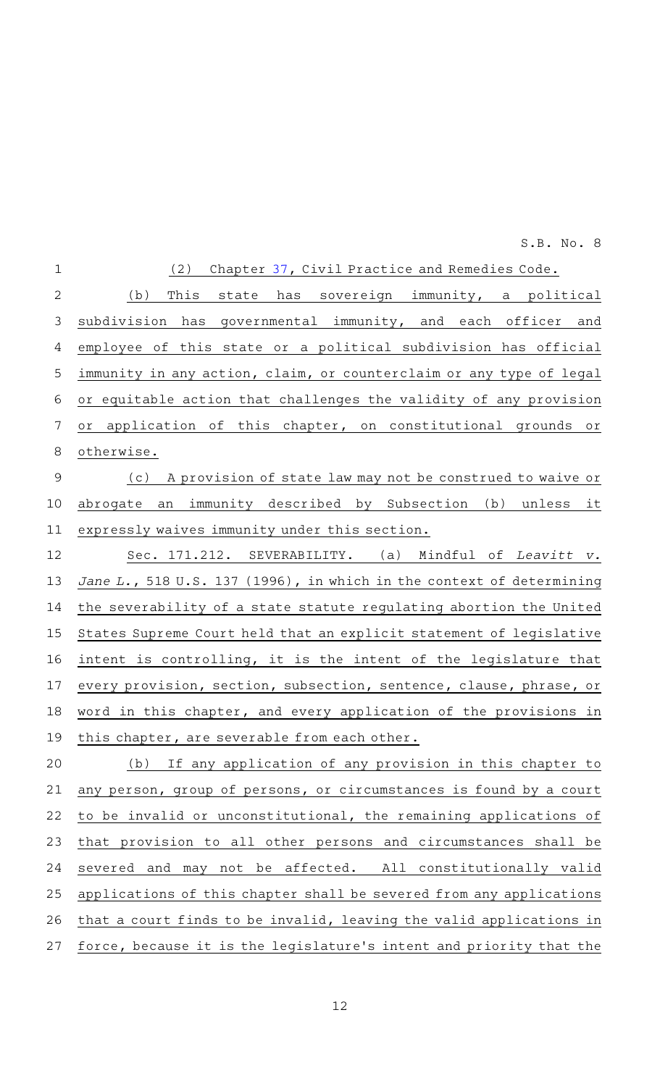(2) Chapter [37](http://www.statutes.legis.state.tx.us/GetStatute.aspx?Code=CP&Value=37&Date=4/28/2021), Civil Practice and Remedies Code. (b) This state has sovereign immunity, a political subdivision has governmental immunity, and each officer and employee of this state or a political subdivision has official immunity in any action, claim, or counterclaim or any type of legal or equitable action that challenges the validity of any provision or application of this chapter, on constitutional grounds or otherwise. (c) A provision of state law may not be construed to waive or abrogate an immunity described by Subsection (b) unless it expressly waives immunity under this section. Sec. 171.212. SEVERABILITY. (a) Mindful of Leavitt v. Jane L., 518 U.S. 137 (1996), in which in the context of determining the severability of a state statute regulating abortion the United States Supreme Court held that an explicit statement of legislative intent is controlling, it is the intent of the legislature that every provision, section, subsection, sentence, clause, phrase, or word in this chapter, and every application of the provisions in this chapter, are severable from each other. (b) If any application of any provision in this chapter to any person, group of persons, or circumstances is found by a court to be invalid or unconstitutional, the remaining applications of that provision to all other persons and circumstances shall be severed and may not be affected. All constitutionally valid applications of this chapter shall be severed from any applications that a court finds to be invalid, leaving the valid applications in force, because it is the legislature 's intent and priority that the 1 2 3 4 5 6 7 8 9 10 11 12 13 14 15 16 17 18 19 20 21 22 23 24 25 26 27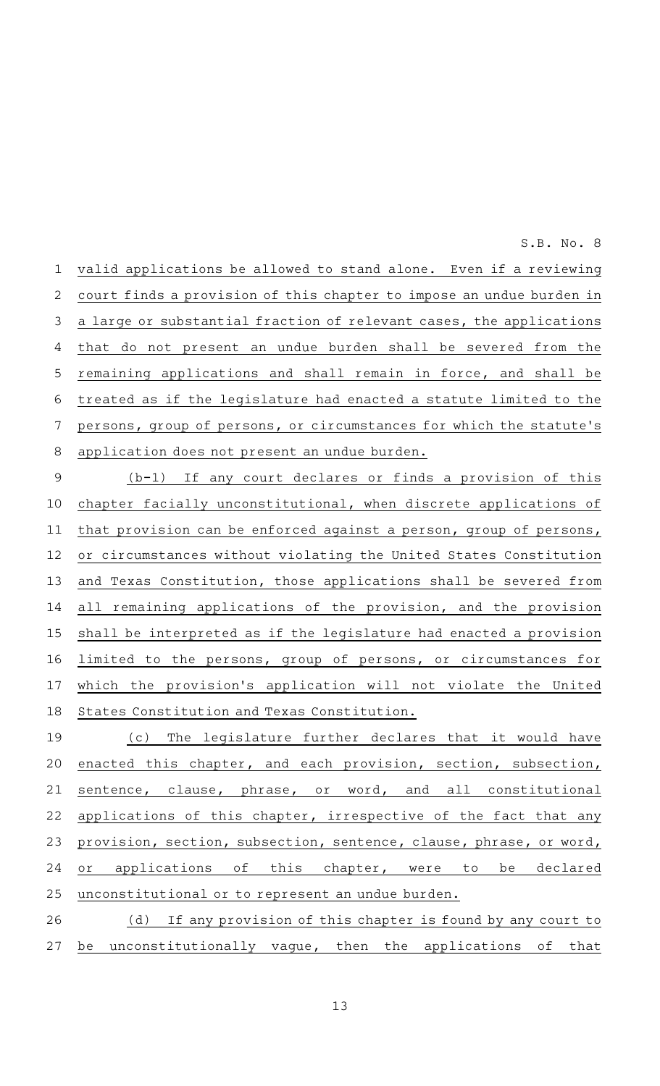valid applications be allowed to stand alone. Even if a reviewing court finds a provision of this chapter to impose an undue burden in a large or substantial fraction of relevant cases, the applications that do not present an undue burden shall be severed from the remaining applications and shall remain in force, and shall be treated as if the legislature had enacted a statute limited to the persons, group of persons, or circumstances for which the statute's application does not present an undue burden. 1 2 3 4 5 6 7 8

 $(b-1)$  If any court declares or finds a provision of this chapter facially unconstitutional, when discrete applications of that provision can be enforced against a person, group of persons, or circumstances without violating the United States Constitution and Texas Constitution, those applications shall be severed from all remaining applications of the provision, and the provision shall be interpreted as if the legislature had enacted a provision limited to the persons, group of persons, or circumstances for which the provision's application will not violate the United States Constitution and Texas Constitution. 9 10 11 12 13 14 15 16 17 18

(c) The legislature further declares that it would have enacted this chapter, and each provision, section, subsection, sentence, clause, phrase, or word, and all constitutional applications of this chapter, irrespective of the fact that any provision, section, subsection, sentence, clause, phrase, or word, or applications of this chapter, were to be declared unconstitutional or to represent an undue burden. 19 20 21 22 23 24 25

(d) If any provision of this chapter is found by any court to be unconstitutionally vague, then the applications of that 26 27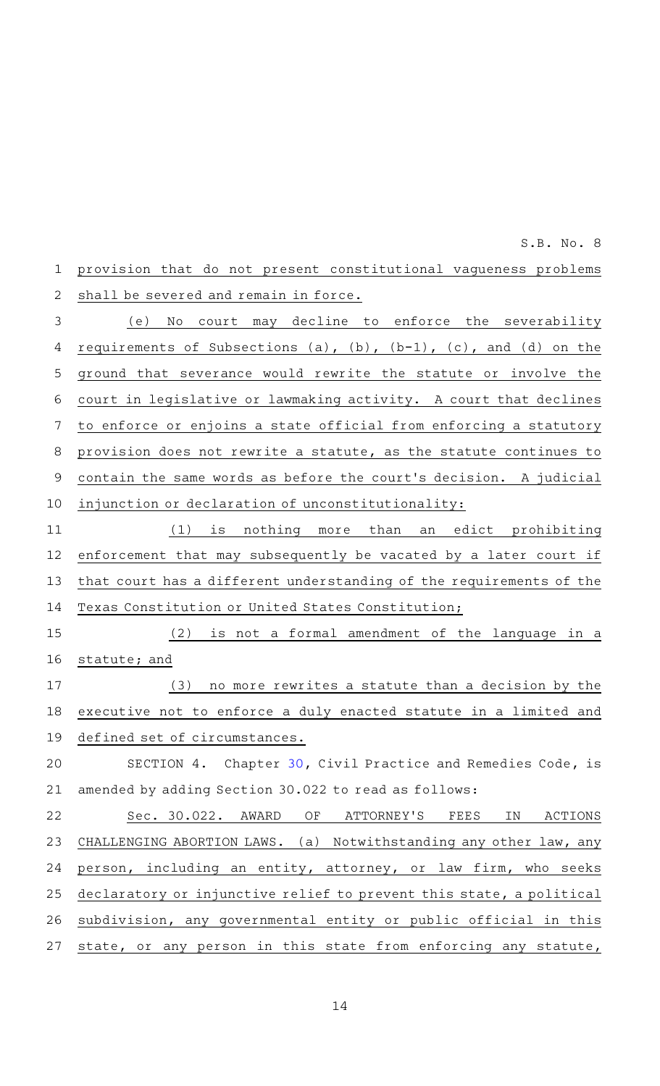provision that do not present constitutional vagueness problems shall be severed and remain in force. 1 2

(e) No court may decline to enforce the severability requirements of Subsections (a),  $(b)$ ,  $(b-1)$ ,  $(c)$ , and  $(d)$  on the ground that severance would rewrite the statute or involve the court in legislative or lawmaking activity. A court that declines to enforce or enjoins a state official from enforcing a statutory provision does not rewrite a statute, as the statute continues to contain the same words as before the court 's decision. A judicial injunction or declaration of unconstitutionality: 3 4 5 6 7 8 9 10

(1) is nothing more than an edict prohibiting enforcement that may subsequently be vacated by a later court if that court has a different understanding of the requirements of the Texas Constitution or United States Constitution; 11 12 13 14

 $(2)$  is not a formal amendment of the language in a statute; and  $(3)$  no more rewrites a statute than a decision by the 15 16 17

executive not to enforce a duly enacted statute in a limited and defined set of circumstances. 18 19

SECTION 4. Chapter [30,](http://www.statutes.legis.state.tx.us/GetStatute.aspx?Code=CP&Value=30&Date=4/28/2021) Civil Practice and Remedies Code, is amended by adding Section 30.022 to read as follows: 20 21

Sec. 30.022. AWARD OF ATTORNEY'S FEES IN ACTIONS CHALLENGING ABORTION LAWS. (a) Notwithstanding any other law, any person, including an entity, attorney, or law firm, who seeks declaratory or injunctive relief to prevent this state, a political subdivision, any governmental entity or public official in this state, or any person in this state from enforcing any statute, 22 23 24 25 26 27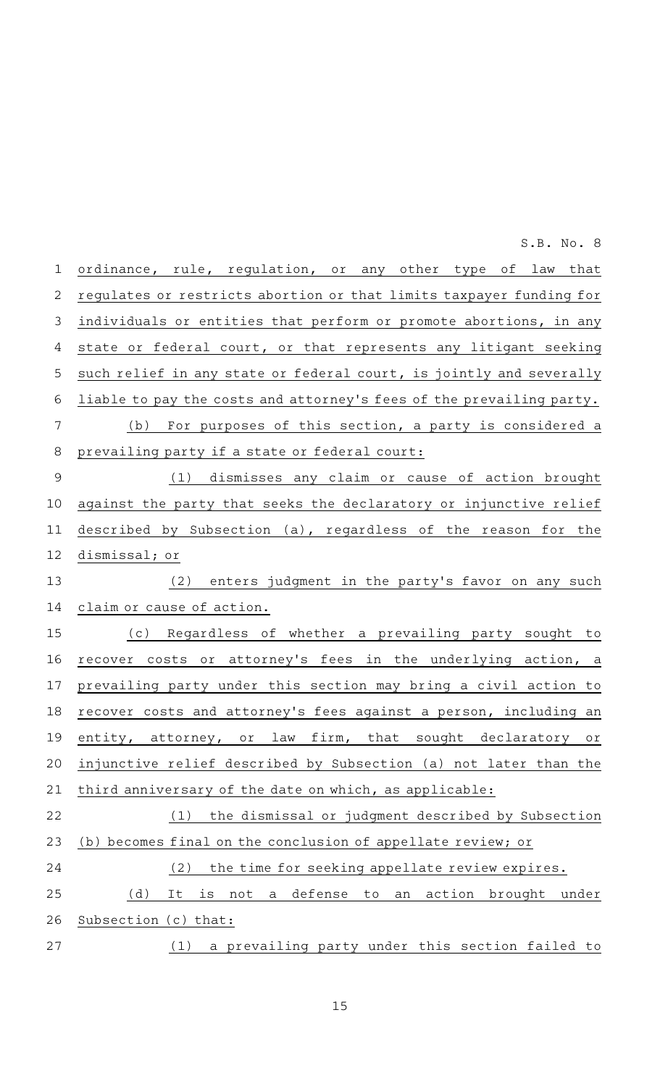| $\mathbf 1$    | ordinance, rule, regulation, or any other type of law that                     |
|----------------|--------------------------------------------------------------------------------|
| 2              | regulates or restricts abortion or that limits taxpayer funding for            |
| 3              | individuals or entities that perform or promote abortions, in any              |
| 4              | state or federal court, or that represents any litigant seeking                |
| 5              | such relief in any state or federal court, is jointly and severally            |
| 6              | liable to pay the costs and attorney's fees of the prevailing party.           |
| 7              | (b) For purposes of this section, a party is considered a                      |
| 8              | prevailing party if a state or federal court:                                  |
| $\overline{9}$ | (1) dismisses any claim or cause of action brought                             |
| 10             | against the party that seeks the declaratory or injunctive relief              |
| 11             | described by Subsection (a), regardless of the reason for the                  |
| 12             | dismissal; or                                                                  |
| 13             | (2) enters judgment in the party's favor on any such                           |
| 14             | claim or cause of action.                                                      |
| 15             | (c) Regardless of whether a prevailing party sought to                         |
| 16             | recover costs or attorney's fees in the underlying action, a                   |
| 17             | prevailing party under this section may bring a civil action to                |
| 18             | recover costs and attorney's fees against a person, including an               |
| 19             | entity, attorney,<br>or<br>law<br>firm,<br>that<br>sought<br>declaratory<br>Оľ |
| 20             | injunctive relief described by Subsection (a) not later than the               |
| 21             | third anniversary of the date on which, as applicable:                         |
| 22             | the dismissal or judgment described by Subsection<br>(1)                       |
| 23             | (b) becomes final on the conclusion of appellate review; or                    |
| 24             | the time for seeking appellate review expires.<br>(2)                          |
| 25             | (d)<br>defense<br>action brought<br>It<br>is<br>not<br>to<br>under<br>a<br>an  |
| 26             | Subsection (c) that:                                                           |
| 27             | a prevailing party under this section failed to<br>(1)                         |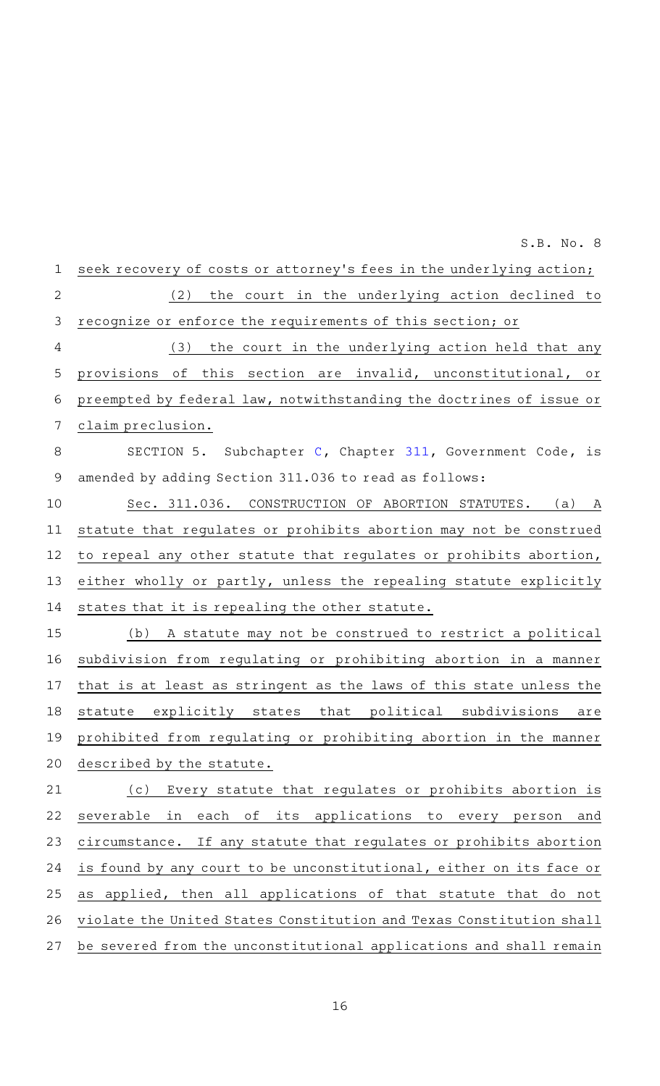seek recovery of costs or attorney's fees in the underlying action; (2) the court in the underlying action declined to recognize or enforce the requirements of this section; or (3) the court in the underlying action held that any provisions of this section are invalid, unconstitutional, or preempted by federal law, notwithstanding the doctrines of issue or claim preclusion. SECTION 5. Subchapter [C,](http://www.statutes.legis.state.tx.us/GetStatute.aspx?Code=GV&Value=311.021&Date=4/28/2021) Chapter [311](http://www.statutes.legis.state.tx.us/GetStatute.aspx?Code=GV&Value=311&Date=4/28/2021), Government Code, is amended by adding Section 311.036 to read as follows: Sec. 311.036. CONSTRUCTION OF ABORTION STATUTES. (a) A statute that regulates or prohibits abortion may not be construed to repeal any other statute that regulates or prohibits abortion, either wholly or partly, unless the repealing statute explicitly states that it is repealing the other statute. (b) A statute may not be construed to restrict a political subdivision from regulating or prohibiting abortion in a manner that is at least as stringent as the laws of this state unless the statute explicitly states that political subdivisions are prohibited from regulating or prohibiting abortion in the manner described by the statute. (c) Every statute that regulates or prohibits abortion is severable in each of its applications to every person and circumstance. If any statute that regulates or prohibits abortion is found by any court to be unconstitutional, either on its face or as applied, then all applications of that statute that do not violate the United States Constitution and Texas Constitution shall be severed from the unconstitutional applications and shall remain 1 2 3 4 5 6 7 8 9 10 11 12 13 14 15 16 17 18 19 20 21 22 23 24 25 26 27

S.B. No. 8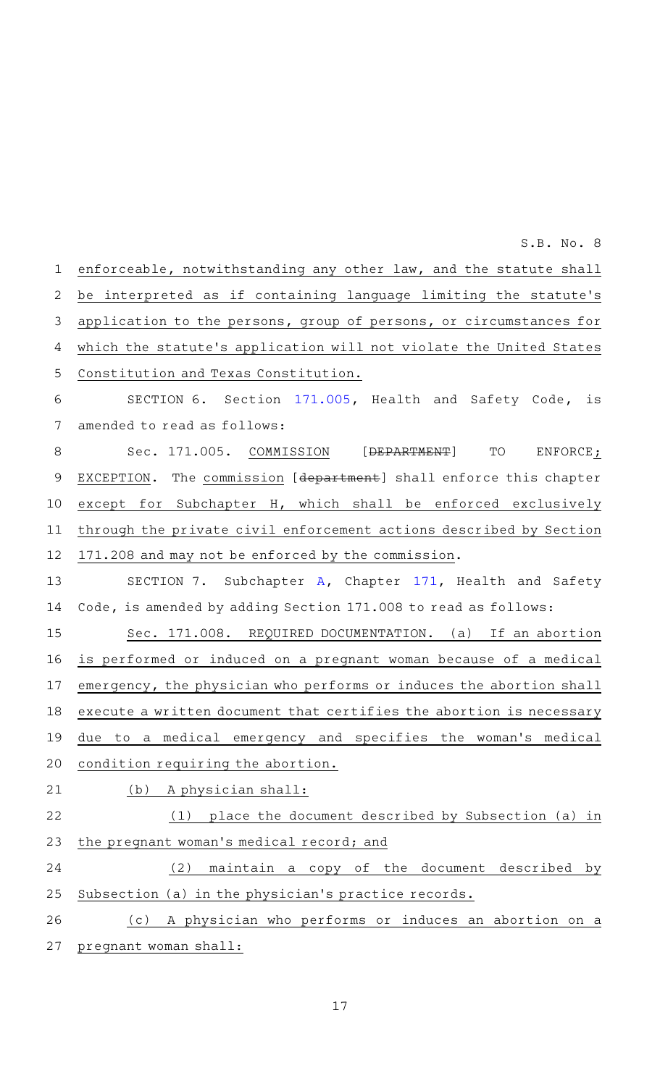enforceable, notwithstanding any other law, and the statute shall be interpreted as if containing language limiting the statute's application to the persons, group of persons, or circumstances for which the statute's application will not violate the United States Constitution and Texas Constitution. SECTION 6. Section [171.005](http://www.statutes.legis.state.tx.us/GetStatute.aspx?Code=HS&Value=171.005&Date=4/28/2021), Health and Safety Code, is amended to read as follows: Sec. 171.005. COMMISSION [<del>DEPARTMENT</del>] TO ENFORCE; EXCEPTION. The commission [department] shall enforce this chapter except for Subchapter H, which shall be enforced exclusively through the private civil enforcement actions described by Section 171.208 and may not be enforced by the commission. SECTION 7. Subchapter [A](http://www.statutes.legis.state.tx.us/GetStatute.aspx?Code=HS&Value=171.001&Date=4/28/2021), Chapter [171,](http://www.statutes.legis.state.tx.us/GetStatute.aspx?Code=HS&Value=171&Date=4/28/2021) Health and Safety Code, is amended by adding Section 171.008 to read as follows: Sec. 171.008. REQUIRED DOCUMENTATION. (a) If an abortion is performed or induced on a pregnant woman because of a medical emergency, the physician who performs or induces the abortion shall execute a written document that certifies the abortion is necessary due to a medical emergency and specifies the woman 's medical condition requiring the abortion. (b) A physician shall:  $(1)$  place the document described by Subsection (a) in the pregnant woman's medical record; and (2) maintain a copy of the document described by Subsection (a) in the physician 's practice records. (c)AAA physician who performs or induces an abortion on a pregnant woman shall: 1 2 3 4 5 6 7 8 9 10 11 12 13 14 15 16 17 18 19 20 21 22 23 24 25 26 27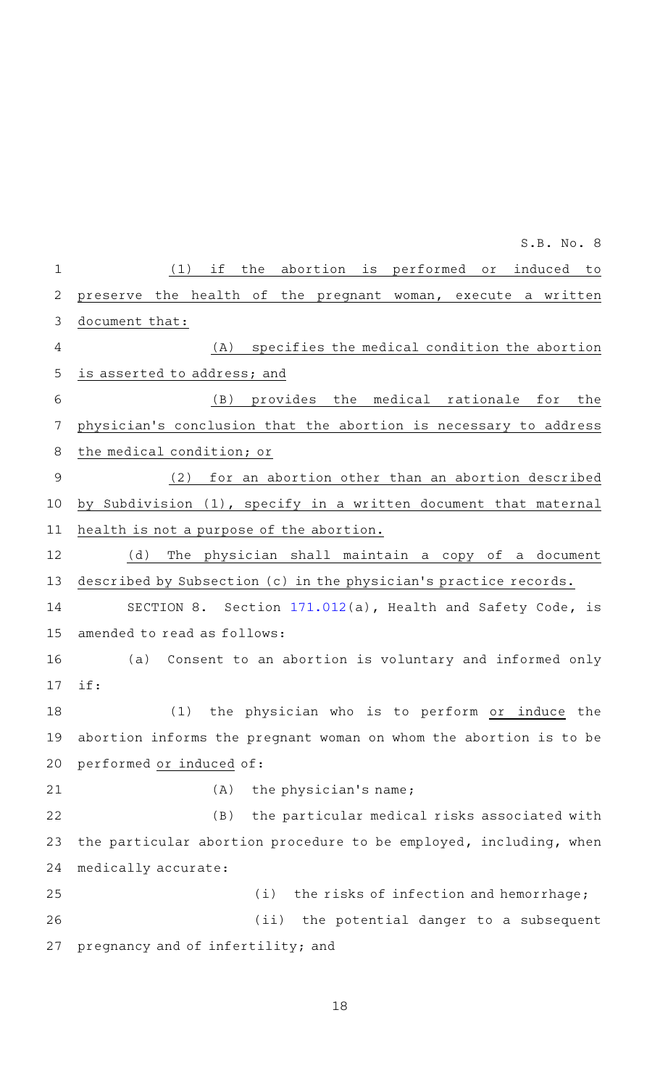|             | S.B. No. 8                                                        |
|-------------|-------------------------------------------------------------------|
| $\mathbf 1$ | the abortion is performed or induced<br>if<br>(1)<br>to           |
| 2           | preserve the health of the pregnant woman, execute a written      |
| 3           | document that:                                                    |
| 4           | specifies the medical condition the abortion<br>(A)               |
| 5           | is asserted to address; and                                       |
| 6           | provides the medical rationale for<br>(B)<br>the                  |
| 7           | physician's conclusion that the abortion is necessary to address  |
| 8           | the medical condition; or                                         |
| 9           | for an abortion other than an abortion described<br>(2)           |
| 10          | by Subdivision (1), specify in a written document that maternal   |
| 11          | health is not a purpose of the abortion.                          |
| 12          | (d)<br>The physician shall maintain a copy of a document          |
| 13          | described by Subsection (c) in the physician's practice records.  |
| 14          | SECTION 8. Section 171.012(a), Health and Safety Code, is         |
| 15          | amended to read as follows:                                       |
| 16          | (a) Consent to an abortion is voluntary and informed only         |
| 17          | if:                                                               |
| 18          | the physician who is to perform or induce the<br>(1)              |
| 19          | abortion informs the pregnant woman on whom the abortion is to be |
| 20          | performed or induced of:                                          |
| 21          | (A)<br>the physician's name;                                      |
| 22          | (B)<br>the particular medical risks associated with               |
| 23          | the particular abortion procedure to be employed, including, when |
| 24          | medically accurate:                                               |
| 25          | (i)<br>the risks of infection and hemorrhage;                     |
| 26          | (iii)<br>the potential danger to a subsequent                     |
| 27          | pregnancy and of infertility; and                                 |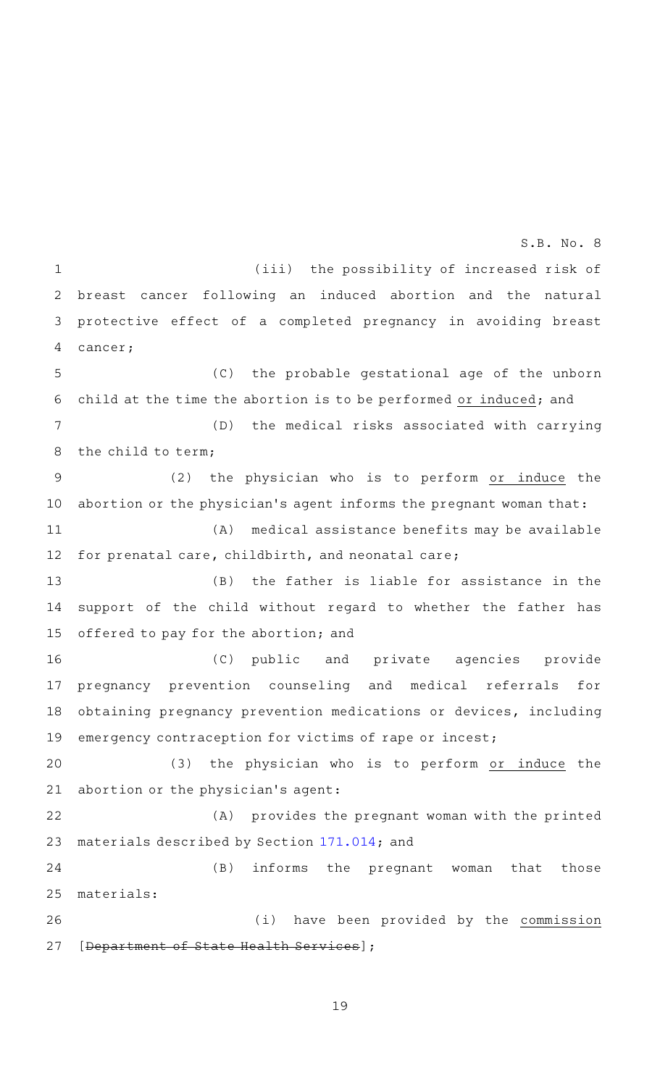(iii) the possibility of increased risk of breast cancer following an induced abortion and the natural protective effect of a completed pregnancy in avoiding breast cancer; 1 2 3 4

(C) the probable gestational age of the unborn child at the time the abortion is to be performed or induced; and 5 6

(D) the medical risks associated with carrying the child to term; 7 8

 $(2)$  the physician who is to perform or induce the abortion or the physician's agent informs the pregnant woman that: (A) medical assistance benefits may be available 9 10 11

for prenatal care, childbirth, and neonatal care; 12

 $(B)$  the father is liable for assistance in the support of the child without regard to whether the father has offered to pay for the abortion; and 13 14 15

(C) public and private agencies provide pregnancy prevention counseling and medical referrals for obtaining pregnancy prevention medications or devices, including emergency contraception for victims of rape or incest; 16 17 18 19

(3) the physician who is to perform or induce the abortion or the physician 's agent: 20 21

(A) provides the pregnant woman with the printed materials described by Section [171.014;](http://www.statutes.legis.state.tx.us/GetStatute.aspx?Code=HS&Value=171.014&Date=4/28/2021) and 22 23

(B) informs the pregnant woman that those materials: 24 25

(i) have been provided by the commission [Department of State Health Services]; 26 27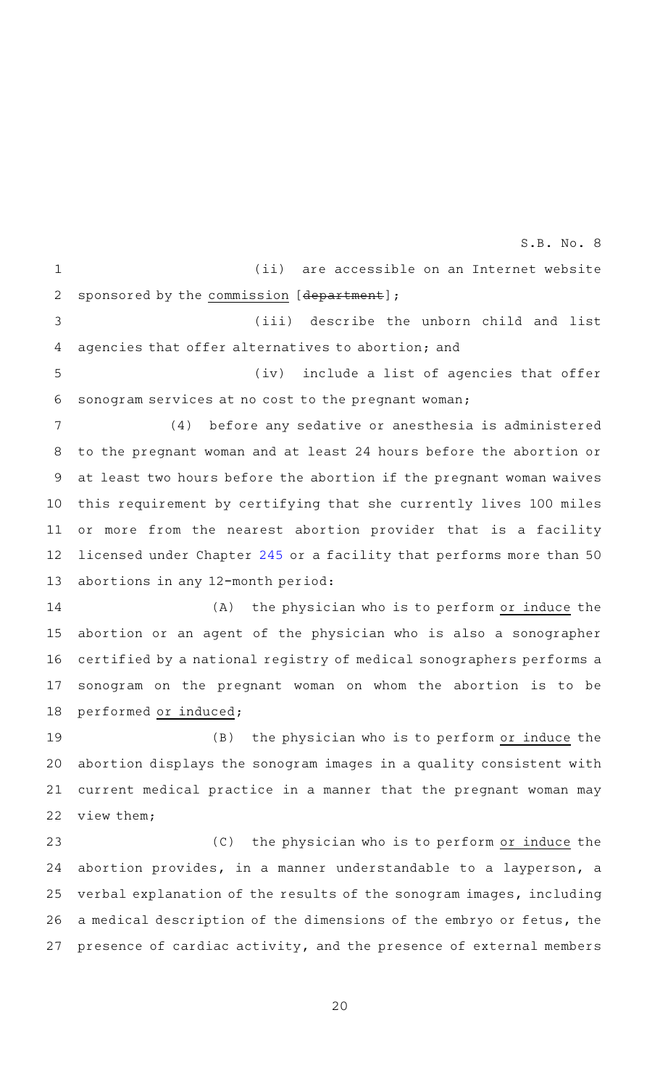(ii) are accessible on an Internet website sponsored by the commission [department]; (iii) describe the unborn child and list agencies that offer alternatives to abortion; and (iv) include a list of agencies that offer sonogram services at no cost to the pregnant woman; (4) before any sedative or anesthesia is administered to the pregnant woman and at least 24 hours before the abortion or at least two hours before the abortion if the pregnant woman waives this requirement by certifying that she currently lives 100 miles or more from the nearest abortion provider that is a facility licensed under Chapter [245](http://www.statutes.legis.state.tx.us/GetStatute.aspx?Code=HS&Value=245&Date=4/28/2021) or a facility that performs more than 50 abortions in any 12-month period: (A) the physician who is to perform or induce the abortion or an agent of the physician who is also a sonographer certified by a national registry of medical sonographers performs a sonogram on the pregnant woman on whom the abortion is to be performed or induced;  $(B)$  the physician who is to perform or induce the abortion displays the sonogram images in a quality consistent with current medical practice in a manner that the pregnant woman may view them; (C) the physician who is to perform or induce the abortion provides, in a manner understandable to a layperson, a verbal explanation of the results of the sonogram images, including a medical description of the dimensions of the embryo or fetus, the presence of cardiac activity, and the presence of external members 1 2 3 4 5 6 7 8 9 10 11 12 13 14 15 16 17 18 19 20 21 22 23 24 25 26 27 S.B. No. 8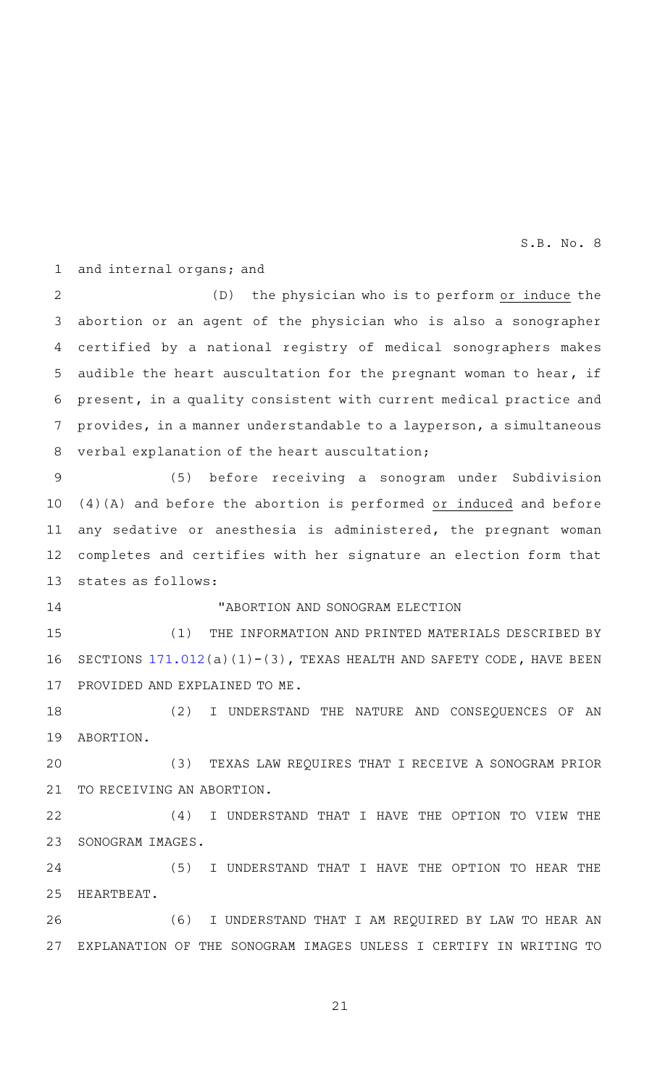and internal organs; and 1

 $(D)$  the physician who is to perform or induce the abortion or an agent of the physician who is also a sonographer certified by a national registry of medical sonographers makes audible the heart auscultation for the pregnant woman to hear, if present, in a quality consistent with current medical practice and provides, in a manner understandable to a layperson, a simultaneous verbal explanation of the heart auscultation; 2 3 4 5 6 7 8

(5) before receiving a sonogram under Subdivision (4)(A) and before the abortion is performed or induced and before any sedative or anesthesia is administered, the pregnant woman completes and certifies with her signature an election form that states as follows: 9 10 11 12 13

14

## "ABORTION AND SONOGRAM ELECTION

(1) THE INFORMATION AND PRINTED MATERIALS DESCRIBED BY SECTIONS  $171.012(a)(1)-(3)$  $171.012(a)(1)-(3)$ , TEXAS HEALTH AND SAFETY CODE, HAVE BEEN PROVIDED AND EXPLAINED TO ME. 15 16 17

(2) I UNDERSTAND THE NATURE AND CONSEQUENCES OF AN ABORTION. 18 19

(3) TEXAS LAW REQUIRES THAT I RECEIVE A SONOGRAM PRIOR TO RECEIVING AN ABORTION. 20 21

(4) I UNDERSTAND THAT I HAVE THE OPTION TO VIEW THE SONOGRAM IMAGES. 22 23

(5) I UNDERSTAND THAT I HAVE THE OPTION TO HEAR THE HEARTBEAT. 24 25

(6) I UNDERSTAND THAT I AM REQUIRED BY LAW TO HEAR AN EXPLANATION OF THE SONOGRAM IMAGES UNLESS I CERTIFY IN WRITING TO 26 27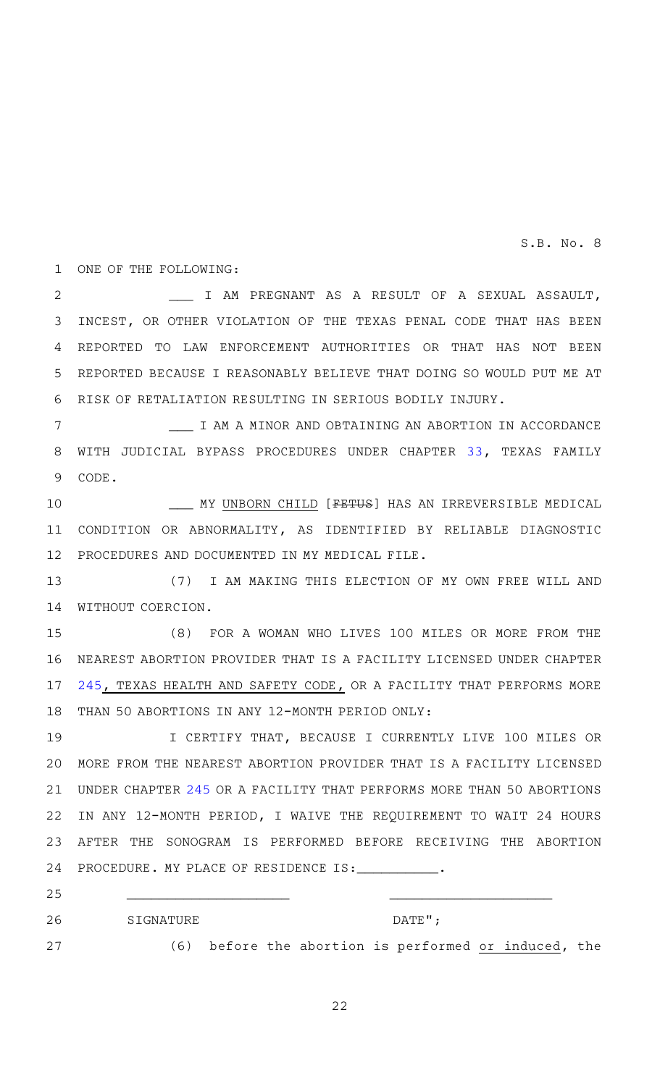1 ONE OF THE FOLLOWING:

\_\_\_ I AM PREGNANT AS A RESULT OF A SEXUAL ASSAULT, INCEST, OR OTHER VIOLATION OF THE TEXAS PENAL CODE THAT HAS BEEN 3 REPORTED TO LAW ENFORCEMENT AUTHORITIES OR THAT HAS NOT BEEN REPORTED BECAUSE I REASONABLY BELIEVE THAT DOING SO WOULD PUT ME AT 6 RISK OF RETALIATION RESULTING IN SERIOUS BODILY INJURY. 2 4 5

\_\_\_ I AM A MINOR AND OBTAINING AN ABORTION IN ACCORDANCE 8 WITH JUDICIAL BYPASS PROCEDURES UNDER CHAPTER [33,](http://www.statutes.legis.state.tx.us/GetStatute.aspx?Code=HS&Value=33&Date=4/28/2021) TEXAS FAMILY CODE. 9 7

MY UNBORN CHILD [<del>FETUS</del>] HAS AN IRREVERSIBLE MEDICAL CONDITION OR ABNORMALITY, AS IDENTIFIED BY RELIABLE DIAGNOSTIC 11 12 PROCEDURES AND DOCUMENTED IN MY MEDICAL FILE. 10

(7) I AM MAKING THIS ELECTION OF MY OWN FREE WILL AND 14 WITHOUT COERCION. 13

(8) FOR A WOMAN WHO LIVES 100 MILES OR MORE FROM THE 16 NEAREST ABORTION PROVIDER THAT IS A FACILITY LICENSED UNDER CHAPTER [245,](http://www.statutes.legis.state.tx.us/GetStatute.aspx?Code=HS&Value=245&Date=4/28/2021) TEXAS HEALTH AND SAFETY CODE, OR A FACILITY THAT PERFORMS MORE THAN 50 ABORTIONS IN ANY 12-MONTH PERIOD ONLY: 15 17 18

I CERTIFY THAT, BECAUSE I CURRENTLY LIVE 100 MILES OR MORE FROM THE NEAREST ABORTION PROVIDER THAT IS A FACILITY LICENSED 20 UNDER CHAPTER [245](http://www.statutes.legis.state.tx.us/GetStatute.aspx?Code=HS&Value=245&Date=4/28/2021) OR A FACILITY THAT PERFORMS MORE THAN 50 ABORTIONS 21 IN ANY 12-MONTH PERIOD, I WAIVE THE REQUIREMENT TO WAIT 24 HOURS AFTER THE SONOGRAM IS PERFORMED BEFORE RECEIVING THE ABORTION PROCEDURE. MY PLACE OF RESIDENCE IS: 19 22 23 24

25

SIGNATUREAAAAAAAAAAAAAAAAAAAAAAAADATE"; (6) before the abortion is performed or induced, the 26 27

22

\_\_\_\_\_\_\_\_\_\_\_\_\_\_\_\_\_\_\_\_ \_\_\_\_\_\_\_\_\_\_\_\_\_\_\_\_\_\_\_\_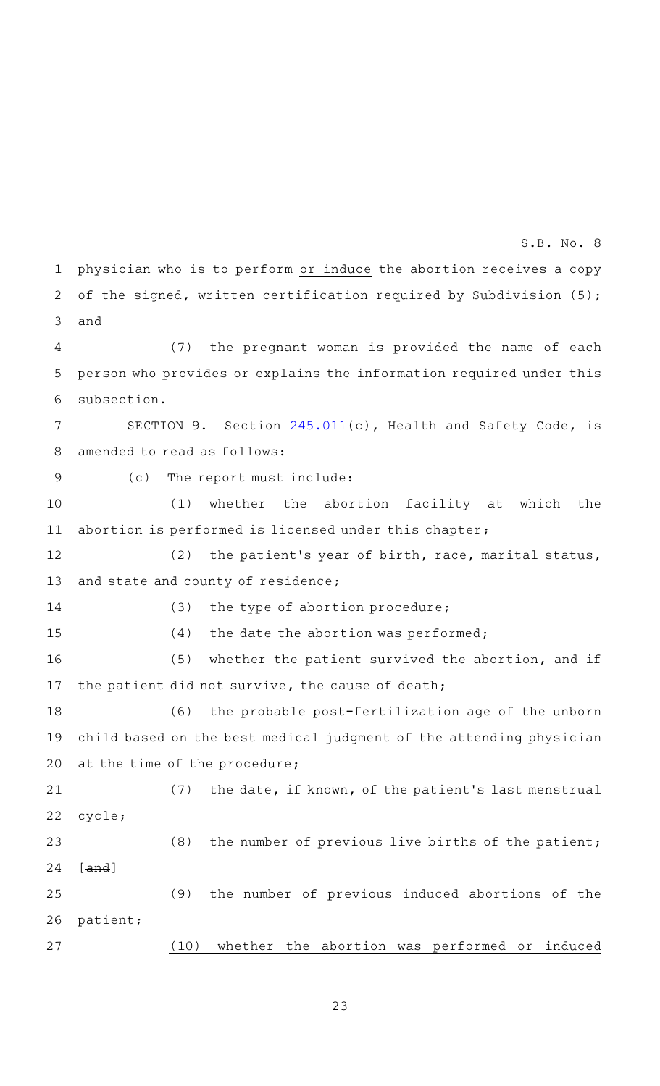physician who is to perform or induce the abortion receives a copy of the signed, written certification required by Subdivision (5); and 1 2 3

(7) the pregnant woman is provided the name of each person who provides or explains the information required under this subsection. 4 5 6

SECTION 9. Section [245.011\(](http://www.statutes.legis.state.tx.us/GetStatute.aspx?Code=HS&Value=245.011&Date=4/28/2021)c), Health and Safety Code, is amended to read as follows: 7 8

9

15

(c) The report must include:

(1) whether the abortion facility at which the abortion is performed is licensed under this chapter; 10 11

(2) the patient's year of birth, race, marital status, and state and county of residence; 12 13

(3) the type of abortion procedure; 14

 $(4)$  the date the abortion was performed;

(5) whether the patient survived the abortion, and if the patient did not survive, the cause of death; 16 17

(6) the probable post-fertilization age of the unborn child based on the best medical judgment of the attending physician at the time of the procedure; 18 19 20

(7) the date, if known, of the patient's last menstrual cycle; 21 22

(8) the number of previous live births of the patient; [and] 23 24

(9) the number of previous induced abortions of the patient<sub>i</sub> 25 26

27

23

(10) whether the abortion was performed or induced